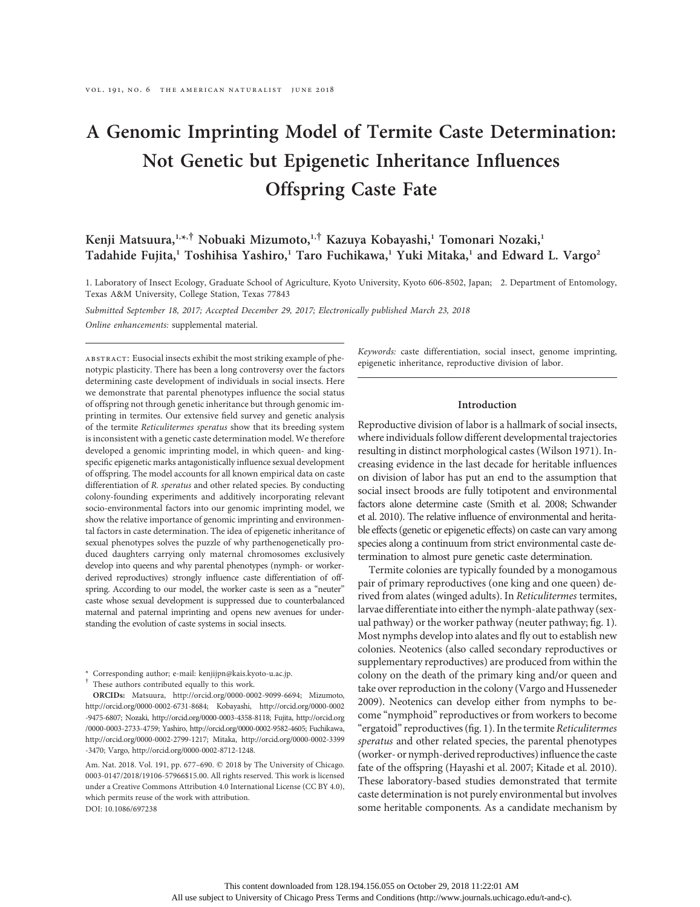# A Genomic Imprinting Model of Termite Caste Determination: Not Genetic but Epigenetic Inheritance Influences Offspring Caste Fate

# Kenji Matsuura,<sup>1,\*,†</sup> Nobuaki Mizumoto,<sup>1,†</sup> Kazuya Kobayashi,<sup>1</sup> Tomonari Nozaki,<sup>1</sup> Tadahide Fujita,<sup>1</sup> Toshihisa Yashiro,<sup>1</sup> Taro Fuchikawa,<sup>1</sup> Yuki Mitaka,<sup>1</sup> and Edward L. Vargo<sup>2</sup>

1. Laboratory of Insect Ecology, Graduate School of Agriculture, Kyoto University, Kyoto 606-8502, Japan; 2. Department of Entomology, Texas A&M University, College Station, Texas 77843

Submitted September 18, 2017; Accepted December 29, 2017; Electronically published March 23, 2018

Online enhancements: supplemental material.

abstract: Eusocial insects exhibit the most striking example of phenotypic plasticity. There has been a long controversy over the factors determining caste development of individuals in social insects. Here we demonstrate that parental phenotypes influence the social status of offspring not through genetic inheritance but through genomic imprinting in termites. Our extensive field survey and genetic analysis of the termite Reticulitermes speratus show that its breeding system is inconsistent with a genetic caste determination model. We therefore developed a genomic imprinting model, in which queen- and kingspecific epigenetic marks antagonistically influence sexual development of offspring. The model accounts for all known empirical data on caste differentiation of R. speratus and other related species. By conducting colony-founding experiments and additively incorporating relevant socio-environmental factors into our genomic imprinting model, we show the relative importance of genomic imprinting and environmental factors in caste determination. The idea of epigenetic inheritance of sexual phenotypes solves the puzzle of why parthenogenetically produced daughters carrying only maternal chromosomes exclusively develop into queens and why parental phenotypes (nymph- or workerderived reproductives) strongly influence caste differentiation of offspring. According to our model, the worker caste is seen as a "neuter" caste whose sexual development is suppressed due to counterbalanced maternal and paternal imprinting and opens new avenues for understanding the evolution of caste systems in social insects.

\* Corresponding author; e-mail: kenjijpn@kais.kyoto-u.ac.jp. † These authors contributed equally to this work.

ORCIDs: Matsuura, http://orcid.org/0000-0002-9099-6694; Mizumoto, http://orcid.org/0000-0002-6731-8684; Kobayashi, http://orcid.org/0000-0002 -9475-6807; Nozaki, http://orcid.org/0000-0003-4358-8118; Fujita, http://orcid.org /0000-0003-2733-4759; Yashiro, http://orcid.org/0000-0002-9582-4605; Fuchikawa, http://orcid.org/0000-0002-2799-1217; Mitaka, http://orcid.org/0000-0002-3399 -3470; Vargo, http://orcid.org/0000-0002-8712-1248.

Am. Nat. 2018. Vol. 191, pp. 677-690.  $©$  2018 by The University of Chicago. 0003-0147/2018/19106-57966\$15.00. All rights reserved. This work is licensed under a Creative Commons Attribution 4.0 International License (CC BY 4.0), which permits reuse of the work with attribution. DOI: 10.1086/697238

Keywords: caste differentiation, social insect, genome imprinting, epigenetic inheritance, reproductive division of labor.

# Introduction

Reproductive division of labor is a hallmark of social insects, where individuals follow different developmental trajectories resulting in distinct morphological castes (Wilson 1971). Increasing evidence in the last decade for heritable influences on division of labor has put an end to the assumption that social insect broods are fully totipotent and environmental factors alone determine caste (Smith et al. 2008; Schwander et al. 2010). The relative influence of environmental and heritable effects (genetic or epigenetic effects) on caste can vary among species along a continuum from strict environmental caste determination to almost pure genetic caste determination.

Termite colonies are typically founded by a monogamous pair of primary reproductives (one king and one queen) derived from alates (winged adults). In Reticulitermes termites, larvae differentiate into either the nymph-alate pathway (sexual pathway) or the worker pathway (neuter pathway; fig. 1). Most nymphs develop into alates and fly out to establish new colonies. Neotenics (also called secondary reproductives or supplementary reproductives) are produced from within the colony on the death of the primary king and/or queen and take over reproduction in the colony (Vargo and Husseneder 2009). Neotenics can develop either from nymphs to become "nymphoid" reproductives or from workers to become "ergatoid" reproductives (fig. 1). In the termite Reticulitermes speratus and other related species, the parental phenotypes (worker- or nymph-derived reproductives) influence the caste fate of the offspring (Hayashi et al. 2007; Kitade et al. 2010). These laboratory-based studies demonstrated that termite caste determination is not purely environmental but involves some heritable components. As a candidate mechanism by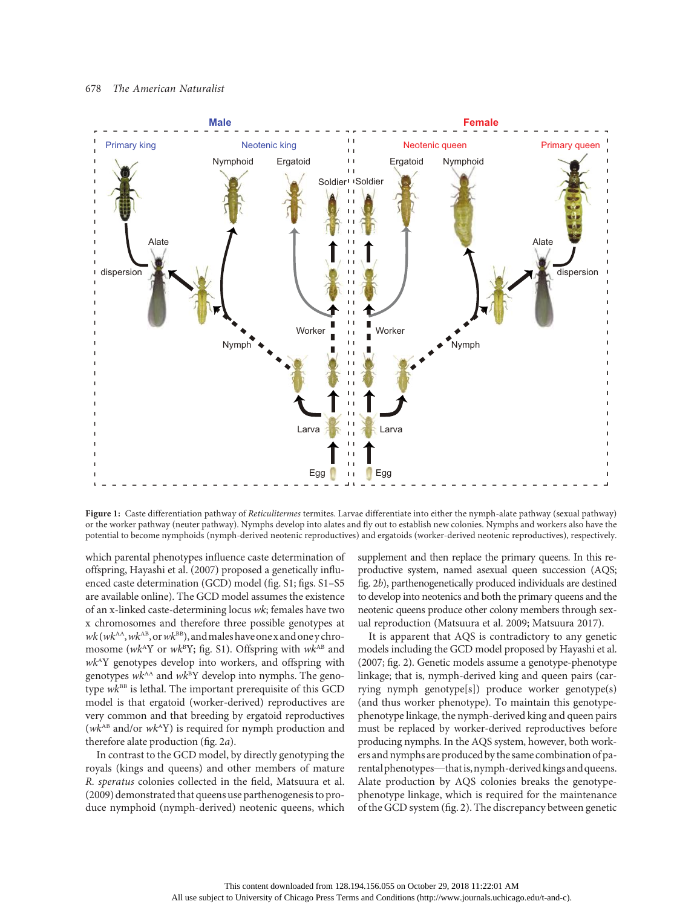

Figure 1: Caste differentiation pathway of Reticulitermes termites. Larvae differentiate into either the nymph-alate pathway (sexual pathway) or the worker pathway (neuter pathway). Nymphs develop into alates and fly out to establish new colonies. Nymphs and workers also have the potential to become nymphoids (nymph-derived neotenic reproductives) and ergatoids (worker-derived neotenic reproductives), respectively.

which parental phenotypes influence caste determination of offspring, Hayashi et al. (2007) proposed a genetically influenced caste determination (GCD) model (fig. S1; figs. S1–S5 are available online). The GCD model assumes the existence of an x-linked caste-determining locus wk; females have two x chromosomes and therefore three possible genotypes at  $wk(wk^{AA}, wk^{AB}, or wk^{BB})$ , and males have one x and one y chromosome ( $wk^AY$  or  $wk^BY$ ; fig. S1). Offspring with  $wk^{AB}$  and  $wk^AY$  genotypes develop into workers, and offspring with genotypes  $wk^{AA}$  and  $wk^BY$  develop into nymphs. The genotype  $wk^{BB}$  is lethal. The important prerequisite of this GCD model is that ergatoid (worker-derived) reproductives are very common and that breeding by ergatoid reproductives ( $wk^{AB}$  and/or  $wk^AY$ ) is required for nymph production and therefore alate production (fig. 2a).

In contrast to the GCD model, by directly genotyping the royals (kings and queens) and other members of mature R. speratus colonies collected in the field, Matsuura et al. (2009) demonstrated that queens use parthenogenesis to produce nymphoid (nymph-derived) neotenic queens, which supplement and then replace the primary queens. In this reproductive system, named asexual queen succession (AQS; fig. 2b), parthenogenetically produced individuals are destined to develop into neotenics and both the primary queens and the neotenic queens produce other colony members through sexual reproduction (Matsuura et al. 2009; Matsuura 2017).

It is apparent that AQS is contradictory to any genetic models including the GCD model proposed by Hayashi et al. (2007; fig. 2). Genetic models assume a genotype-phenotype linkage; that is, nymph-derived king and queen pairs (carrying nymph genotype[s]) produce worker genotype(s) (and thus worker phenotype). To maintain this genotypephenotype linkage, the nymph-derived king and queen pairs must be replaced by worker-derived reproductives before producing nymphs. In the AQS system, however, both workers and nymphs are produced by the same combination of parental phenotypes—that is, nymph-derived kings and queens. Alate production by AQS colonies breaks the genotypephenotype linkage, which is required for the maintenance of the GCD system (fig. 2). The discrepancy between genetic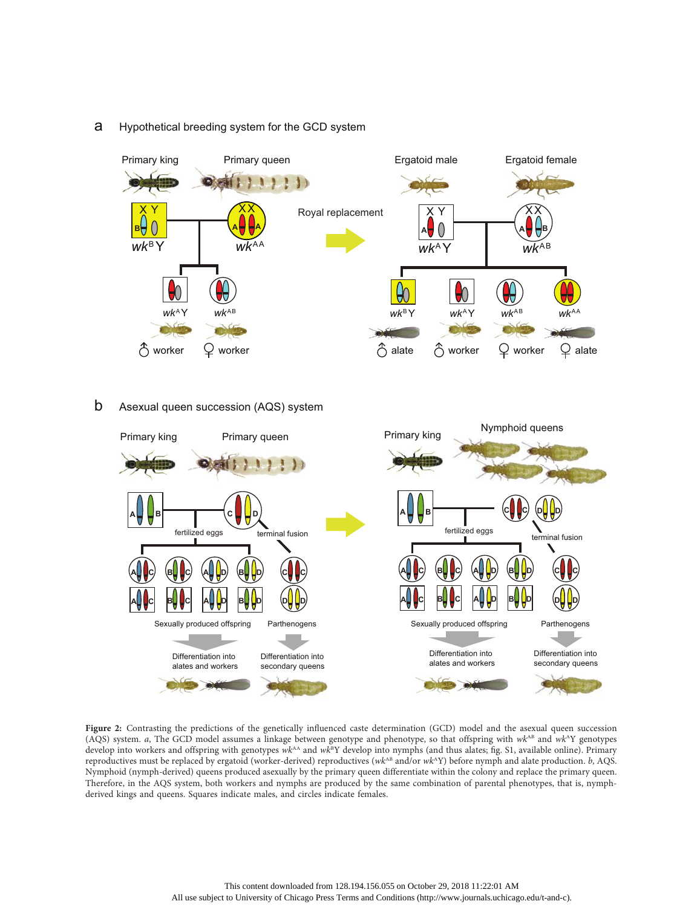

# a Hypothetical breeding system for the GCD system

b Asexual queen succession (AQS) system



Figure 2: Contrasting the predictions of the genetically influenced caste determination (GCD) model and the asexual queen succession (AQS) system. a, The GCD model assumes a linkage between genotype and phenotype, so that offspring with  $wk^{AB}$  and  $wk^{AY}$  genotypes develop into workers and offspring with genotypes wk<sup>AA</sup> and wk<sup>B</sup>Y develop into nymphs (and thus alates; fig. S1, available online). Primary reproductives must be replaced by ergatoid (worker-derived) reproductives ( $wk^{AB}$  and/or  $wk^AY$ ) before nymph and alate production. b, AQS. Nymphoid (nymph-derived) queens produced asexually by the primary queen differentiate within the colony and replace the primary queen. Therefore, in the AQS system, both workers and nymphs are produced by the same combination of parental phenotypes, that is, nymphderived kings and queens. Squares indicate males, and circles indicate females.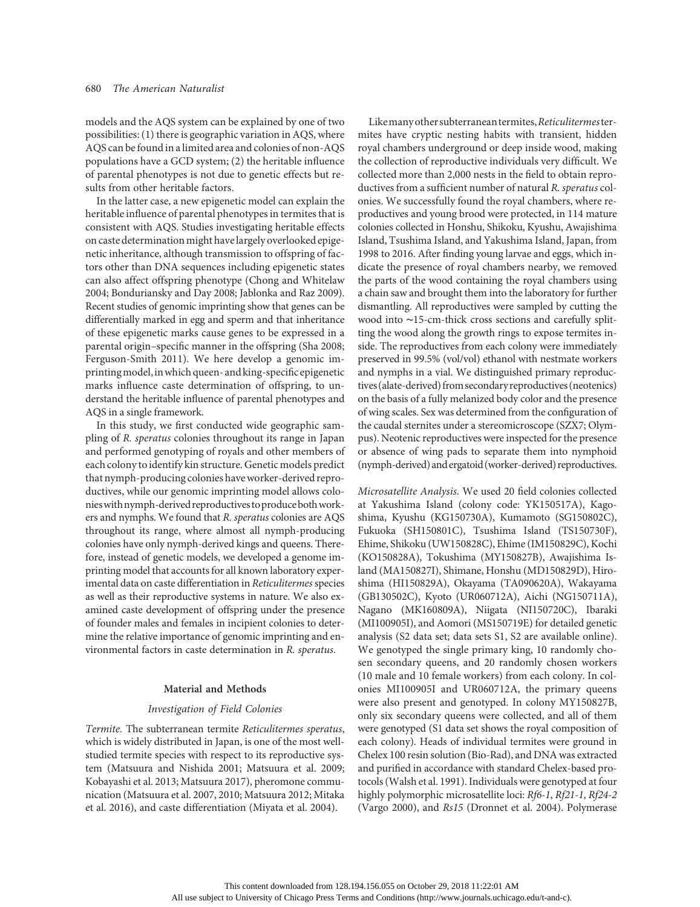models and the AQS system can be explained by one of two possibilities: (1) there is geographic variation in AQS, where AQS can be found in a limited area and colonies of non-AQS populations have a GCD system; (2) the heritable influence of parental phenotypes is not due to genetic effects but results from other heritable factors.

In the latter case, a new epigenetic model can explain the heritable influence of parental phenotypes in termites that is consistent with AQS. Studies investigating heritable effects on caste determination might have largely overlooked epigenetic inheritance, although transmission to offspring of factors other than DNA sequences including epigenetic states can also affect offspring phenotype (Chong and Whitelaw 2004; Bonduriansky and Day 2008; Jablonka and Raz 2009). Recent studies of genomic imprinting show that genes can be differentially marked in egg and sperm and that inheritance of these epigenetic marks cause genes to be expressed in a parental origin–specific manner in the offspring (Sha 2008; Ferguson-Smith 2011). We here develop a genomic imprintingmodel,inwhich queen- andking-specific epigenetic marks influence caste determination of offspring, to understand the heritable influence of parental phenotypes and AQS in a single framework.

In this study, we first conducted wide geographic sampling of R. speratus colonies throughout its range in Japan and performed genotyping of royals and other members of each colony to identify kin structure. Genetic models predict that nymph-producing colonies have worker-derived reproductives, while our genomic imprinting model allows colonies with nymph-derived reproductives to produce both workers and nymphs. We found that R. speratus colonies are AQS throughout its range, where almost all nymph-producing colonies have only nymph-derived kings and queens. Therefore, instead of genetic models, we developed a genome imprinting model that accounts for all known laboratory experimental data on caste differentiation in Reticulitermes species as well as their reproductive systems in nature. We also examined caste development of offspring under the presence of founder males and females in incipient colonies to determine the relative importance of genomic imprinting and environmental factors in caste determination in R. speratus.

# Material and Methods

# Investigation of Field Colonies

Termite. The subterranean termite Reticulitermes speratus, which is widely distributed in Japan, is one of the most wellstudied termite species with respect to its reproductive system (Matsuura and Nishida 2001; Matsuura et al. 2009; Kobayashi et al. 2013; Matsuura 2017), pheromone communication (Matsuura et al. 2007, 2010; Matsuura 2012; Mitaka et al. 2016), and caste differentiation (Miyata et al. 2004).

Like many other subterranean termites, Reticulitermes termites have cryptic nesting habits with transient, hidden royal chambers underground or deep inside wood, making the collection of reproductive individuals very difficult. We collected more than 2,000 nests in the field to obtain reproductives from a sufficient number of natural R. speratus colonies. We successfully found the royal chambers, where reproductives and young brood were protected, in 114 mature colonies collected in Honshu, Shikoku, Kyushu, Awajishima Island, Tsushima Island, and Yakushima Island, Japan, from 1998 to 2016. After finding young larvae and eggs, which indicate the presence of royal chambers nearby, we removed the parts of the wood containing the royal chambers using a chain saw and brought them into the laboratory for further dismantling. All reproductives were sampled by cutting the wood into ∼15-cm-thick cross sections and carefully splitting the wood along the growth rings to expose termites inside. The reproductives from each colony were immediately preserved in 99.5% (vol/vol) ethanol with nestmate workers and nymphs in a vial. We distinguished primary reproductives (alate-derived) from secondary reproductives (neotenics) on the basis of a fully melanized body color and the presence of wing scales. Sex was determined from the configuration of the caudal sternites under a stereomicroscope (SZX7; Olympus). Neotenic reproductives were inspected for the presence or absence of wing pads to separate them into nymphoid (nymph-derived) and ergatoid (worker-derived) reproductives.

Microsatellite Analysis. We used 20 field colonies collected at Yakushima Island (colony code: YK150517A), Kagoshima, Kyushu (KG150730A), Kumamoto (SG150802C), Fukuoka (SH150801C), Tsushima Island (TS150730F), Ehime, Shikoku (UW150828C), Ehime (IM150829C), Kochi (KO150828A), Tokushima (MY150827B), Awajishima Island (MA150827I), Shimane, Honshu (MD150829D), Hiroshima (HI150829A), Okayama (TA090620A), Wakayama (GB130502C), Kyoto (UR060712A), Aichi (NG150711A), Nagano (MK160809A), Niigata (NI150720C), Ibaraki (MI100905I), and Aomori (MS150719E) for detailed genetic analysis (S2 data set; data sets S1, S2 are available online). We genotyped the single primary king, 10 randomly chosen secondary queens, and 20 randomly chosen workers (10 male and 10 female workers) from each colony. In colonies MI100905I and UR060712A, the primary queens were also present and genotyped. In colony MY150827B, only six secondary queens were collected, and all of them were genotyped (S1 data set shows the royal composition of each colony). Heads of individual termites were ground in Chelex 100 resin solution (Bio-Rad), and DNA was extracted and purified in accordance with standard Chelex-based protocols (Walsh et al. 1991). Individuals were genotyped at four highly polymorphic microsatellite loci: Rf6-1, Rf21-1, Rf24-2 (Vargo 2000), and Rs15 (Dronnet et al. 2004). Polymerase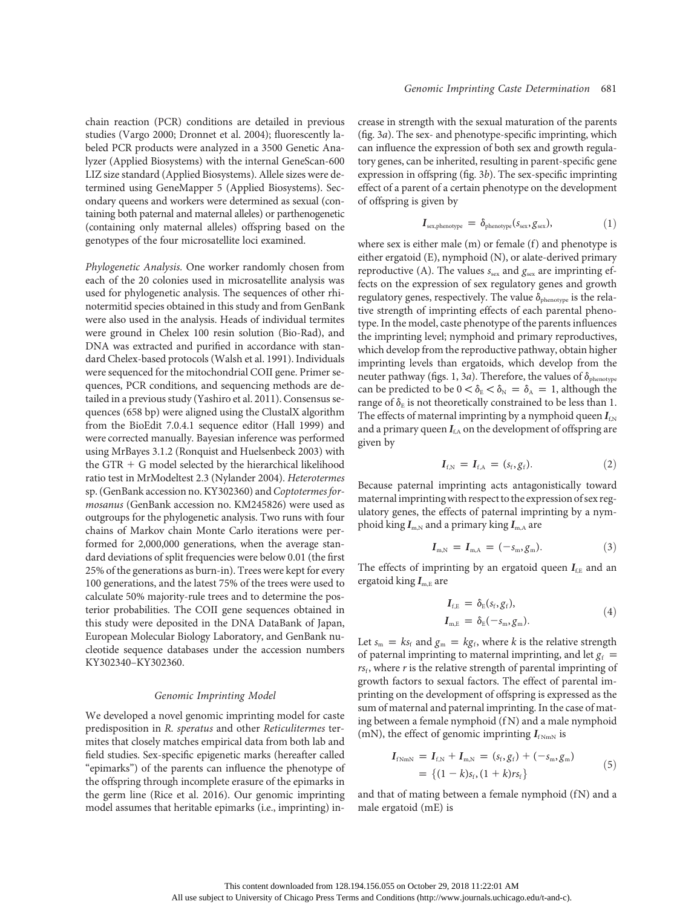chain reaction (PCR) conditions are detailed in previous studies (Vargo 2000; Dronnet et al. 2004); fluorescently labeled PCR products were analyzed in a 3500 Genetic Analyzer (Applied Biosystems) with the internal GeneScan-600 LIZ size standard (Applied Biosystems). Allele sizes were determined using GeneMapper 5 (Applied Biosystems). Secondary queens and workers were determined as sexual (containing both paternal and maternal alleles) or parthenogenetic (containing only maternal alleles) offspring based on the genotypes of the four microsatellite loci examined.

Phylogenetic Analysis. One worker randomly chosen from each of the 20 colonies used in microsatellite analysis was used for phylogenetic analysis. The sequences of other rhinotermitid species obtained in this study and from GenBank were also used in the analysis. Heads of individual termites were ground in Chelex 100 resin solution (Bio-Rad), and DNA was extracted and purified in accordance with standard Chelex-based protocols (Walsh et al. 1991). Individuals were sequenced for the mitochondrial COII gene. Primer sequences, PCR conditions, and sequencing methods are detailed in a previous study (Yashiro et al. 2011). Consensus sequences (658 bp) were aligned using the ClustalX algorithm from the BioEdit 7.0.4.1 sequence editor (Hall 1999) and were corrected manually. Bayesian inference was performed using MrBayes 3.1.2 (Ronquist and Huelsenbeck 2003) with the GTR  $+$  G model selected by the hierarchical likelihood ratio test in MrModeltest 2.3 (Nylander 2004). Heterotermes sp. (GenBank accession no. KY302360) and Coptotermes formosanus (GenBank accession no. KM245826) were used as outgroups for the phylogenetic analysis. Two runs with four chains of Markov chain Monte Carlo iterations were performed for 2,000,000 generations, when the average standard deviations of split frequencies were below 0.01 (the first 25% of the generations as burn-in). Trees were kept for every 100 generations, and the latest 75% of the trees were used to calculate 50% majority-rule trees and to determine the posterior probabilities. The COII gene sequences obtained in this study were deposited in the DNA DataBank of Japan, European Molecular Biology Laboratory, and GenBank nucleotide sequence databases under the accession numbers KY302340–KY302360.

# Genomic Imprinting Model

We developed a novel genomic imprinting model for caste predisposition in R. speratus and other Reticulitermes termites that closely matches empirical data from both lab and field studies. Sex-specific epigenetic marks (hereafter called "epimarks") of the parents can influence the phenotype of the offspring through incomplete erasure of the epimarks in the germ line (Rice et al. 2016). Our genomic imprinting model assumes that heritable epimarks (i.e., imprinting) increase in strength with the sexual maturation of the parents (fig. 3a). The sex- and phenotype-specific imprinting, which can influence the expression of both sex and growth regulatory genes, can be inherited, resulting in parent-specific gene expression in offspring (fig. 3b). The sex-specific imprinting effect of a parent of a certain phenotype on the development of offspring is given by

$$
I_{sex,phenotype} = \delta_{phenotype}(s_{sex}, g_{sex}), \qquad (1)
$$

where sex is either male  $(m)$  or female  $(f)$  and phenotype is either ergatoid (E), nymphoid (N), or alate-derived primary reproductive (A). The values  $s_{\text{sex}}$  and  $g_{\text{sex}}$  are imprinting effects on the expression of sex regulatory genes and growth regulatory genes, respectively. The value  $\delta_{\text{phenotype}}$  is the relative strength of imprinting effects of each parental phenotype. In the model, caste phenotype of the parents influences the imprinting level; nymphoid and primary reproductives, which develop from the reproductive pathway, obtain higher imprinting levels than ergatoids, which develop from the neuter pathway (figs. 1, 3*a*). Therefore, the values of  $\delta_{\text{phenotype}}$ can be predicted to be  $0 < \delta_{\rm E} < \delta_{\rm N} = \delta_{\rm A} = 1$ , although the range of  $\delta_{\rm E}$  is not theoretically constrained to be less than 1. The effects of maternal imprinting by a nymphoid queen  $I_{f,N}$ and a primary queen  $I_{f,A}$  on the development of offspring are given by

$$
I_{f,N} = I_{f,A} = (s_f, g_f). \tag{2}
$$

Because paternal imprinting acts antagonistically toward maternal imprintingwith respect to the expression of sex regulatory genes, the effects of paternal imprinting by a nymphoid king  $I_{m,N}$  and a primary king  $I_{m,A}$  are

$$
I_{m,N} = I_{m,A} = (-s_m, g_m). \tag{3}
$$

The effects of imprinting by an ergatoid queen  $I_{f,E}$  and an ergatoid king  $I_{\text{m,E}}$  are

$$
I_{f,E} = \delta_E(s_f, g_f),
$$
  
\n
$$
I_{m,E} = \delta_E(-s_m, g_m).
$$
\n(4)

Let  $s_m = ks_f$  and  $g_m = kg_f$ , where k is the relative strength of paternal imprinting to maternal imprinting, and let  $g_f$  =  $rs<sub>f</sub>$ , where  $r$  is the relative strength of parental imprinting of growth factors to sexual factors. The effect of parental imprinting on the development of offspring is expressed as the sum of maternal and paternal imprinting. In the case of mating between a female nymphoid (f N) and a male nymphoid (mN), the effect of genomic imprinting  $I_{fNmN}$  is

$$
I_{fNmN} = I_{f,N} + I_{m,N} = (s_f, g_f) + (-s_m, g_m)
$$
  
= { (1 - k)s\_f, (1 + k)rs\_f } (5)

and that of mating between a female nymphoid (fN) and a male ergatoid (mE) is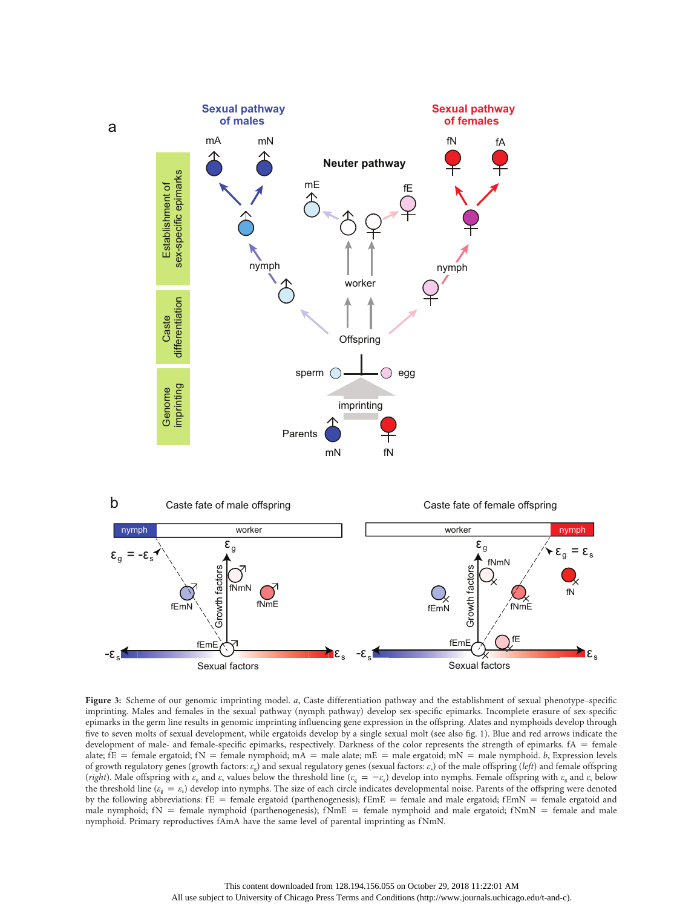



Figure 3: Scheme of our genomic imprinting model. <sup>a</sup>, Caste differentiation pathway and the establishment of sexual phenotype–specifi<sup>c</sup> imprinting. Males and females in the sexual pathway (nymph pathway) develop sex-specific epimarks. Incomplete erasure of sex-specific epimarks in the germ line results in genomic imprinting influencing gene expression in the offspring. Alates and nymphoids develop through five to seven molts of sexual development, while ergatoids develop by a single sexual molt (see also fig. 1). Blue and red arrows indicate the development of male- and female-specific epimarks, respectively. Darkness of the color represents the strength of epimarks.  $fA =$  female alate; fE = female ergatoid; fN = female nymphoid; mA = male alate; mE = male ergatoid; mN = male nymphoid. b, Expression levels of growth regulatory genes (growth factors:  $\varepsilon_{s}$ ) and sexual regulatory genes (sexual factors:  $\varepsilon_{s}$ ) of the male offspring (left) and female offspring (right). Male offspring with  $\varepsilon_{\rm g}$  and  $\varepsilon_{\rm s}$  values below the threshold line ( $\varepsilon_{\rm g} = -\varepsilon_{\rm s}$ ) develop into nymphs. Female offspring with  $\varepsilon_{\rm g}$  and  $\varepsilon_{\rm s}$  below the threshold line ( $\varepsilon_{g} = \varepsilon_{s}$ ) develop into nymphs. The size of each circle indicates developmental noise. Parents of the offspring were denoted by the following abbreviations:  $fE =$  female ergatoid (parthenogenesis);  $fEmE =$  female and male ergatoid;  $fEmN =$  female ergatoid and male nymphoid;  $fN =$  female nymphoid (parthenogenesis);  $fNmE =$  female nymphoid and male ergatoid;  $fNmN =$  female and male nymphoid. Primary reproductives fAmA have the same level of parental imprinting as fNmN.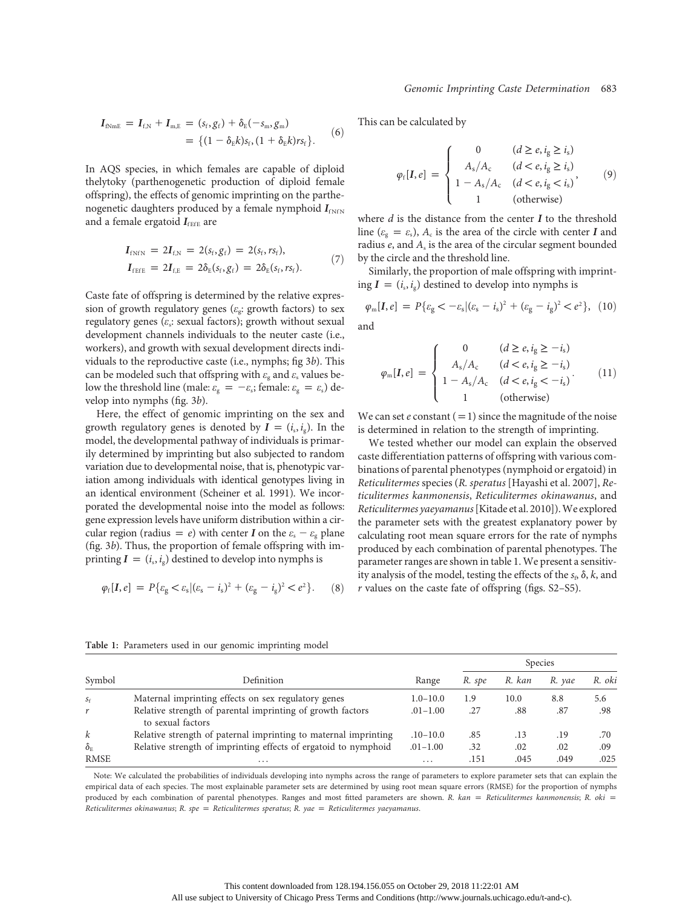Genomic Imprinting Caste Determination 683

$$
I_{fNmE} = I_{f,N} + I_{m,E} = (s_f, g_f) + \delta_E(-s_m, g_m)
$$
  
= { (1 - \delta\_E k) s\_f, (1 + \delta\_E k) r s\_f }. (6)

In AQS species, in which females are capable of diploid thelytoky (parthenogenetic production of diploid female offspring), the effects of genomic imprinting on the parthenogenetic daughters produced by a female nymphoid  $I_{fNN}$ and a female ergatoid  $I_{\text{fEE}}$  are

$$
I_{fNfN} = 2I_{f,N} = 2(s_f, g_f) = 2(s_f, rs_f),
$$
  
\n
$$
I_{fEFE} = 2I_{f,E} = 2\delta_E(s_f, g_f) = 2\delta_E(s_f, rs_f).
$$
\n(7)

Caste fate of offspring is determined by the relative expression of growth regulatory genes ( $\varepsilon$ <sub>g</sub>: growth factors) to sex regulatory genes ( $\varepsilon_s$ : sexual factors); growth without sexual development channels individuals to the neuter caste (i.e., workers), and growth with sexual development directs individuals to the reproductive caste (i.e., nymphs; fig 3b). This can be modeled such that offspring with  $\varepsilon_{\rm g}$  and  $\varepsilon_{\rm s}$  values below the threshold line (male:  $\varepsilon_{\rm g} = -\varepsilon_{\rm s}$ ; female:  $\varepsilon_{\rm g} = \varepsilon_{\rm s}$ ) develop into nymphs (fig. 3b).

Here, the effect of genomic imprinting on the sex and growth regulatory genes is denoted by  $I = (i_s, i_g)$ . In the model, the developmental pathway of individuals is primarily determined by imprinting but also subjected to random variation due to developmental noise, that is, phenotypic variation among individuals with identical genotypes living in an identical environment (Scheiner et al. 1991). We incorporated the developmental noise into the model as follows: gene expression levels have uniform distribution within a circular region (radius = e) with center I on the  $\varepsilon_s - \varepsilon_g$  plane (fig. 3b). Thus, the proportion of female offspring with imprinting  $I = (i_s, i_g)$  destined to develop into nymphs is

$$
\varphi_f[I, e] = P\{\varepsilon_g < \varepsilon_s | (\varepsilon_s - i_s)^2 + (\varepsilon_g - i_g)^2 < e^2\}.\tag{8}
$$

This can be calculated by

$$
\varphi_f[I, e] = \begin{cases}\n0 & (d \ge e, i_g \ge i_s) \\
A_s/A_c & (d < e, i_g \ge i_s) \\
1 - A_s/A_c & (d < e, i_g < i_s) \\
1 & \text{(otherwise)}\n\end{cases} \tag{9}
$$

where  $d$  is the distance from the center  $I$  to the threshold line ( $\varepsilon_{g} = \varepsilon_{s}$ ),  $A_{c}$  is the area of the circle with center I and radius  $e$ , and  $A_s$  is the area of the circular segment bounded by the circle and the threshold line.

Similarly, the proportion of male offspring with imprinting  $I = (i_s, i_s)$  destined to develop into nymphs is

$$
\varphi_{\rm m}[I, e] = P\{\varepsilon_{\rm g} < -\varepsilon_{\rm s}|(\varepsilon_{\rm s} - i_{\rm s})^2 + (\varepsilon_{\rm g} - i_{\rm g})^2 < e^2\}, \tag{10}
$$

and

$$
\varphi_{\rm m}[I, e] = \begin{cases}\n0 & (d \ge e, i_{\rm g} \ge -i_{\rm s}) \\
A_{\rm s}/A_{\rm c} & (d < e, i_{\rm g} \ge -i_{\rm s}) \\
1 - A_{\rm s}/A_{\rm c} & (d < e, i_{\rm g} < -i_{\rm s})\n\end{cases} (11)
$$
\n
$$
(11)
$$
\n
$$
(otherwise)
$$

We can set e constant  $(=1)$  since the magnitude of the noise is determined in relation to the strength of imprinting.

We tested whether our model can explain the observed caste differentiation patterns of offspring with various combinations of parental phenotypes (nymphoid or ergatoid) in Reticulitermes species (R. speratus [Hayashi et al. 2007], Reticulitermes kanmonensis, Reticulitermes okinawanus, and Reticulitermes yaeyamanus[Kitade et al. 2010]).We explored the parameter sets with the greatest explanatory power by calculating root mean square errors for the rate of nymphs produced by each combination of parental phenotypes. The parameter ranges are shown in table 1. We present a sensitivity analysis of the model, testing the effects of the  $s<sub>b</sub>$ ,  $\delta$ ,  $k$ , and r values on the caste fate of offspring (figs. S2–S5).

| Symbol                                   | Definition                                                                      | Range        | Species |        |        |        |
|------------------------------------------|---------------------------------------------------------------------------------|--------------|---------|--------|--------|--------|
|                                          |                                                                                 |              | R. spe  | R. kan | R. vae | R. oki |
| $S_f$                                    | Maternal imprinting effects on sex regulatory genes                             | $1.0 - 10.0$ | 1.9     | 10.0   | 8.8    | 5.6    |
| r                                        | Relative strength of parental imprinting of growth factors<br>to sexual factors | $.01 - 1.00$ | .27     | .88    | .87    | .98    |
| $\boldsymbol{k}$                         | Relative strength of paternal imprinting to maternal imprinting                 | $.10 - 10.0$ | .85     | .13    | .19    | .70    |
| $\delta_{\scriptscriptstyle \mathrm{F}}$ | Relative strength of imprinting effects of ergatoid to nymphoid                 | $.01 - 1.00$ | .32     | .02    | .02    | .09    |
| <b>RMSE</b>                              | $\cdots$                                                                        | $\cdots$     | .151    | .045   | .049   | .025   |

Table 1: Parameters used in our genomic imprinting model

Note: We calculated the probabilities of individuals developing into nymphs across the range of parameters to explore parameter sets that can explain the empirical data of each species. The most explainable parameter sets are determined by using root mean square errors (RMSE) for the proportion of nymphs produced by each combination of parental phenotypes. Ranges and most fitted parameters are shown. R.  $kan = Reticulitermes kanmonensis; R. oki =$ Reticulitermes okinawanus; R. spe = Reticulitermes speratus; R. yae = Reticulitermes yaeyamanus.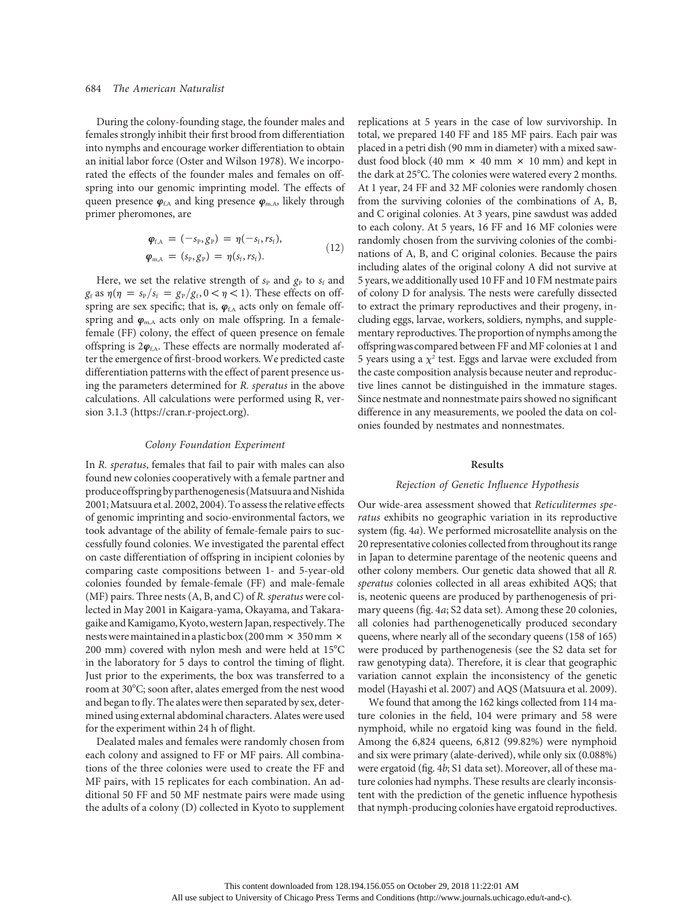During the colony-founding stage, the founder males and females strongly inhibit their first brood from differentiation into nymphs and encourage worker differentiation to obtain an initial labor force (Oster and Wilson 1978). We incorporated the effects of the founder males and females on offspring into our genomic imprinting model. The effects of queen presence  $\varphi_{f,A}$  and king presence  $\varphi_{m,A}$ , likely through primer pheromones, are

$$
\varphi_{f,A} = (-s_{P}, g_{P}) = \eta(-s_{f}, rs_{f}), \n\varphi_{m,A} = (s_{P}, g_{P}) = \eta(s_{f}, rs_{f}).
$$
\n(12)

Here, we set the relative strength of  $s_P$  and  $g_P$  to  $s_f$  and  $g_f$  as  $\eta(\eta = s_P/s_f = g_P/g_f, 0 < \eta < 1)$ . These effects on offspring are sex specific; that is,  $\varphi_{f,A}$  acts only on female offspring and  $\varphi_{m,A}$  acts only on male offspring. In a femalefemale (FF) colony, the effect of queen presence on female offspring is  $2\varphi_{f,A}$ . These effects are normally moderated after the emergence of first-brood workers. We predicted caste differentiation patterns with the effect of parent presence using the parameters determined for R. speratus in the above calculations. All calculations were performed using R, version 3.1.3 (https://cran.r-project.org).

# Colony Foundation Experiment

In R. speratus, females that fail to pair with males can also found new colonies cooperatively with a female partner and produce offspring by parthenogenesis (Matsuura and Nishida 2001;Matsuura et al. 2002, 2004). To assess the relative effects of genomic imprinting and socio-environmental factors, we took advantage of the ability of female-female pairs to successfully found colonies. We investigated the parental effect on caste differentiation of offspring in incipient colonies by comparing caste compositions between 1- and 5-year-old colonies founded by female-female (FF) and male-female (MF) pairs. Three nests (A, B, and C) of R. speratus were collected in May 2001 in Kaigara-yama, Okayama, and Takaragaike andKamigamo,Kyoto,western Japan, respectively. The nests were maintained in a plastic box (200 mm  $\times$  350 mm  $\times$ 200 mm) covered with nylon mesh and were held at  $15^{\circ}$ C in the laboratory for 5 days to control the timing of flight. Just prior to the experiments, the box was transferred to a room at 30°C; soon after, alates emerged from the nest wood and began to fly. The alates were then separated by sex, determined using external abdominal characters. Alates were used for the experiment within 24 h of flight.

Dealated males and females were randomly chosen from each colony and assigned to FF or MF pairs. All combinations of the three colonies were used to create the FF and MF pairs, with 15 replicates for each combination. An additional 50 FF and 50 MF nestmate pairs were made using the adults of a colony (D) collected in Kyoto to supplement replications at 5 years in the case of low survivorship. In total, we prepared 140 FF and 185 MF pairs. Each pair was placed in a petri dish (90 mm in diameter) with a mixed sawdust food block (40 mm  $\times$  40 mm  $\times$  10 mm) and kept in the dark at  $25^{\circ}$ C. The colonies were watered every 2 months. At 1 year, 24 FF and 32 MF colonies were randomly chosen from the surviving colonies of the combinations of A, B, and C original colonies. At 3 years, pine sawdust was added to each colony. At 5 years, 16 FF and 16 MF colonies were randomly chosen from the surviving colonies of the combinations of A, B, and C original colonies. Because the pairs including alates of the original colony A did not survive at 5 years, we additionally used 10 FF and 10 FM nestmate pairs of colony D for analysis. The nests were carefully dissected to extract the primary reproductives and their progeny, including eggs, larvae, workers, soldiers, nymphs, and supplementary reproductives. The proportion of nymphs among the offspringwascompared between FF and MF colonies at 1 and 5 years using a  $\chi^2$  test. Eggs and larvae were excluded from the caste composition analysis because neuter and reproductive lines cannot be distinguished in the immature stages. Since nestmate and nonnestmate pairs showed no significant difference in any measurements, we pooled the data on colonies founded by nestmates and nonnestmates.

#### Results

#### Rejection of Genetic Influence Hypothesis

Our wide-area assessment showed that Reticulitermes speratus exhibits no geographic variation in its reproductive system (fig. 4a). We performed microsatellite analysis on the 20 representative colonies collected from throughout its range in Japan to determine parentage of the neotenic queens and other colony members. Our genetic data showed that all R. speratus colonies collected in all areas exhibited AQS; that is, neotenic queens are produced by parthenogenesis of primary queens (fig. 4a; S2 data set). Among these 20 colonies, all colonies had parthenogenetically produced secondary queens, where nearly all of the secondary queens (158 of 165) were produced by parthenogenesis (see the S2 data set for raw genotyping data). Therefore, it is clear that geographic variation cannot explain the inconsistency of the genetic model (Hayashi et al. 2007) and AQS (Matsuura et al. 2009).

We found that among the 162 kings collected from 114 mature colonies in the field, 104 were primary and 58 were nymphoid, while no ergatoid king was found in the field. Among the 6,824 queens, 6,812 (99.82%) were nymphoid and six were primary (alate-derived), while only six (0.088%) were ergatoid (fig. 4b; S1 data set). Moreover, all of these mature colonies had nymphs. These results are clearly inconsistent with the prediction of the genetic influence hypothesis that nymph-producing colonies have ergatoid reproductives.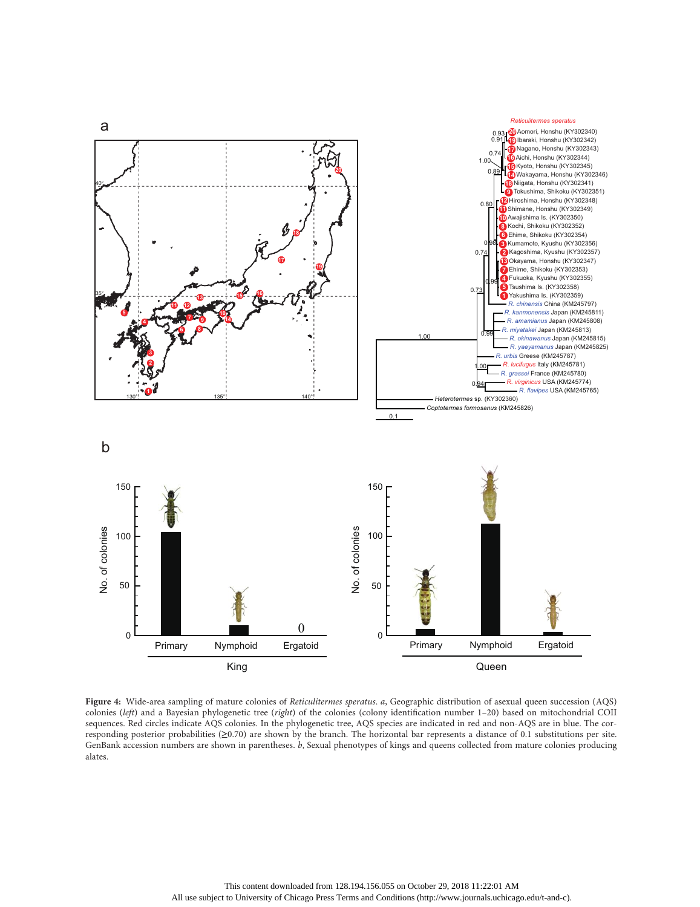

Figure 4: Wide-area sampling of mature colonies of Reticulitermes speratus. a, Geographic distribution of asexual queen succession (AQS) colonies (left) and a Bayesian phylogenetic tree (right) of the colonies (colony identification number 1-20) based on mitochondrial COII sequences. Red circles indicate AQS colonies. In the phylogenetic tree, AQS species are indicated in red and non-AQS are in blue. The corresponding posterior probabilities (≥0.70) are shown by the branch. The horizontal bar represents a distance of 0.1 substitutions per site. GenBank accession numbers are shown in parentheses. b, Sexual phenotypes of kings and queens collected from mature colonies producing alates.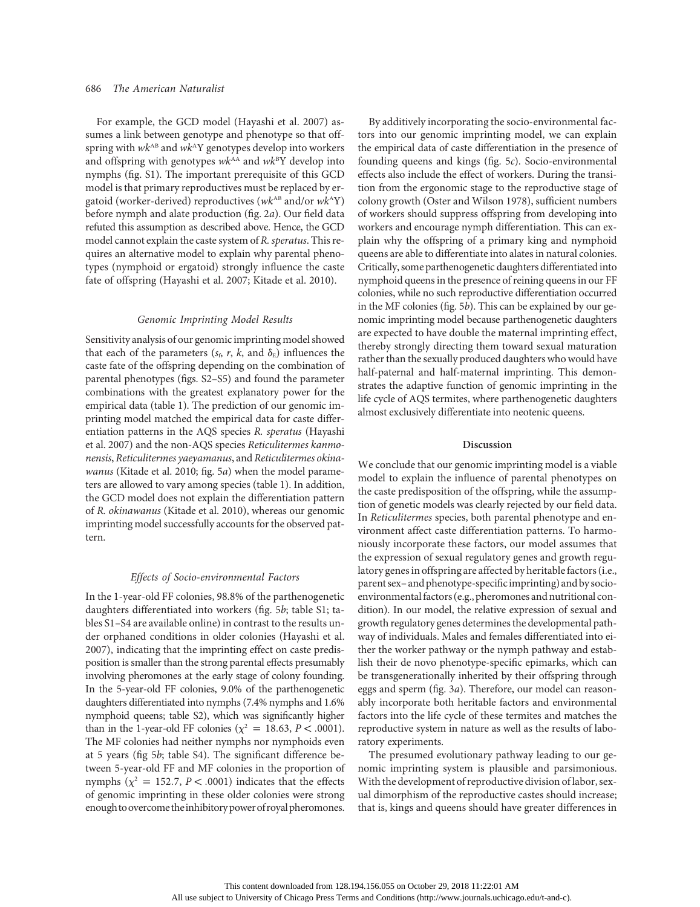For example, the GCD model (Hayashi et al. 2007) assumes a link between genotype and phenotype so that offspring with  $wk^{AB}$  and  $wk^AY$  genotypes develop into workers and offspring with genotypes  $wk^{AA}$  and  $wk^BY$  develop into nymphs (fig. S1). The important prerequisite of this GCD model is that primary reproductives must be replaced by ergatoid (worker-derived) reproductives ( $wk^{\text{AB}}$  and/or  $wk^{\text{A}}Y$ ) before nymph and alate production (fig. 2a). Our field data refuted this assumption as described above. Hence, the GCD model cannot explain the caste system of R. speratus. This requires an alternative model to explain why parental phenotypes (nymphoid or ergatoid) strongly influence the caste fate of offspring (Hayashi et al. 2007; Kitade et al. 2010).

#### Genomic Imprinting Model Results

Sensitivity analysis of our genomic imprinting model showed that each of the parameters ( $s<sub>p</sub>$ , r, k, and  $\delta<sub>E</sub>$ ) influences the caste fate of the offspring depending on the combination of parental phenotypes (figs. S2–S5) and found the parameter combinations with the greatest explanatory power for the empirical data (table 1). The prediction of our genomic imprinting model matched the empirical data for caste differentiation patterns in the AQS species R. speratus (Hayashi et al. 2007) and the non-AQS species Reticulitermes kanmonensis, Reticulitermes yaeyamanus, and Reticulitermes okinawanus (Kitade et al. 2010; fig. 5a) when the model parameters are allowed to vary among species (table 1). In addition, the GCD model does not explain the differentiation pattern of R. okinawanus (Kitade et al. 2010), whereas our genomic imprinting model successfully accounts for the observed pattern.

# Effects of Socio-environmental Factors

In the 1-year-old FF colonies, 98.8% of the parthenogenetic daughters differentiated into workers (fig. 5b; table S1; tables S1–S4 are available online) in contrast to the results under orphaned conditions in older colonies (Hayashi et al. 2007), indicating that the imprinting effect on caste predisposition is smaller than the strong parental effects presumably involving pheromones at the early stage of colony founding. In the 5-year-old FF colonies, 9.0% of the parthenogenetic daughters differentiated into nymphs (7.4% nymphs and 1.6% nymphoid queens; table S2), which was significantly higher than in the 1-year-old FF colonies ( $\chi^2 = 18.63$ ,  $P < .0001$ ). The MF colonies had neither nymphs nor nymphoids even at 5 years (fig 5b; table S4). The significant difference between 5-year-old FF and MF colonies in the proportion of nymphs ( $\chi^2$  = 152.7, P < .0001) indicates that the effects of genomic imprinting in these older colonies were strong enough to overcome the inhibitory power of royal pheromones.

By additively incorporating the socio-environmental factors into our genomic imprinting model, we can explain the empirical data of caste differentiation in the presence of founding queens and kings (fig. 5c). Socio-environmental effects also include the effect of workers. During the transition from the ergonomic stage to the reproductive stage of colony growth (Oster and Wilson 1978), sufficient numbers of workers should suppress offspring from developing into workers and encourage nymph differentiation. This can explain why the offspring of a primary king and nymphoid queens are able to differentiate into alates in natural colonies. Critically, some parthenogenetic daughters differentiated into nymphoid queens in the presence of reining queens in our FF colonies, while no such reproductive differentiation occurred in the MF colonies (fig. 5b). This can be explained by our genomic imprinting model because parthenogenetic daughters are expected to have double the maternal imprinting effect, thereby strongly directing them toward sexual maturation rather than the sexually produced daughters who would have half-paternal and half-maternal imprinting. This demonstrates the adaptive function of genomic imprinting in the life cycle of AQS termites, where parthenogenetic daughters almost exclusively differentiate into neotenic queens.

# Discussion

We conclude that our genomic imprinting model is a viable model to explain the influence of parental phenotypes on the caste predisposition of the offspring, while the assumption of genetic models was clearly rejected by our field data. In Reticulitermes species, both parental phenotype and environment affect caste differentiation patterns. To harmoniously incorporate these factors, our model assumes that the expression of sexual regulatory genes and growth regulatory genes in offspring are affected by heritable factors (i.e., parent sex–and phenotype-specificimprinting) and by socioenvironmental factors (e.g., pheromones and nutritional condition). In our model, the relative expression of sexual and growth regulatory genes determines the developmental pathway of individuals. Males and females differentiated into either the worker pathway or the nymph pathway and establish their de novo phenotype-specific epimarks, which can be transgenerationally inherited by their offspring through eggs and sperm (fig. 3a). Therefore, our model can reasonably incorporate both heritable factors and environmental factors into the life cycle of these termites and matches the reproductive system in nature as well as the results of laboratory experiments.

The presumed evolutionary pathway leading to our genomic imprinting system is plausible and parsimonious. With the development of reproductive division of labor, sexual dimorphism of the reproductive castes should increase; that is, kings and queens should have greater differences in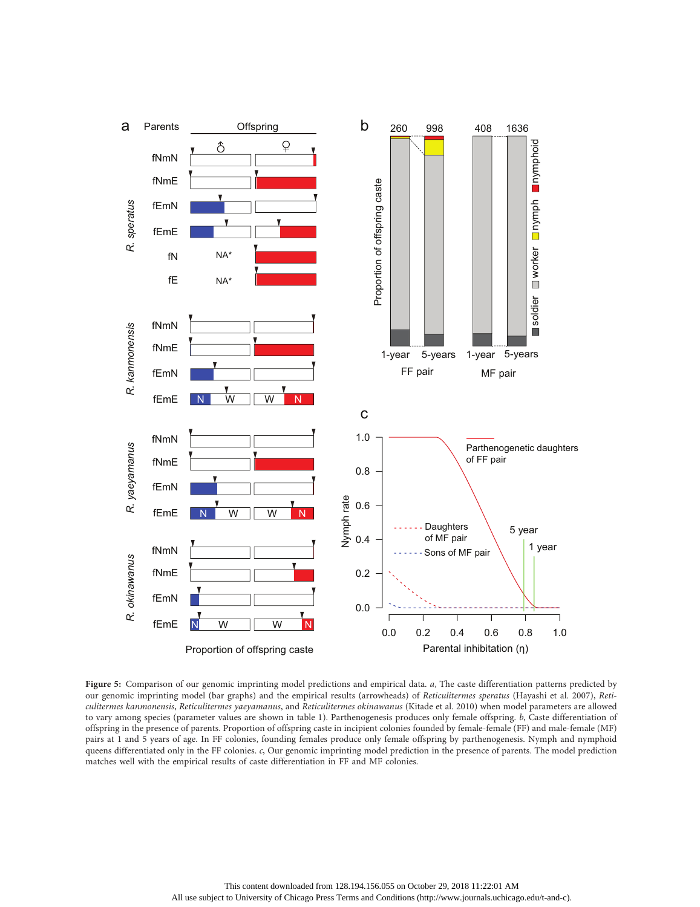

Figure 5: Comparison of our genomic imprinting model predictions and empirical data.  $a$ , The caste differentiation patterns predicted by our genomic imprinting model (bar graphs) and the empirical results (arrowheads) of Reticulitermes speratus (Hayashi et al. 2007), Reticulitermes kanmonensis, Reticulitermes yaeyamanus, and Reticulitermes okinawanus (Kitade et al. 2010) when model parameters are allowed to vary among species (parameter values are shown in table 1). Parthenogenesis produces only female offspring. b, Caste differentiation of offspring in the presence of parents. Proportion of offspring caste in incipient colonies founded by female-female (FF) and male-female (MF) pairs at 1 and 5 years of age. In FF colonies, founding females produce only female offspring by parthenogenesis. Nymph and nymphoid queens differentiated only in the FF colonies. c, Our genomic imprinting model prediction in the presence of parents. The model prediction matches well with the empirical results of caste differentiation in FF and MF colonies.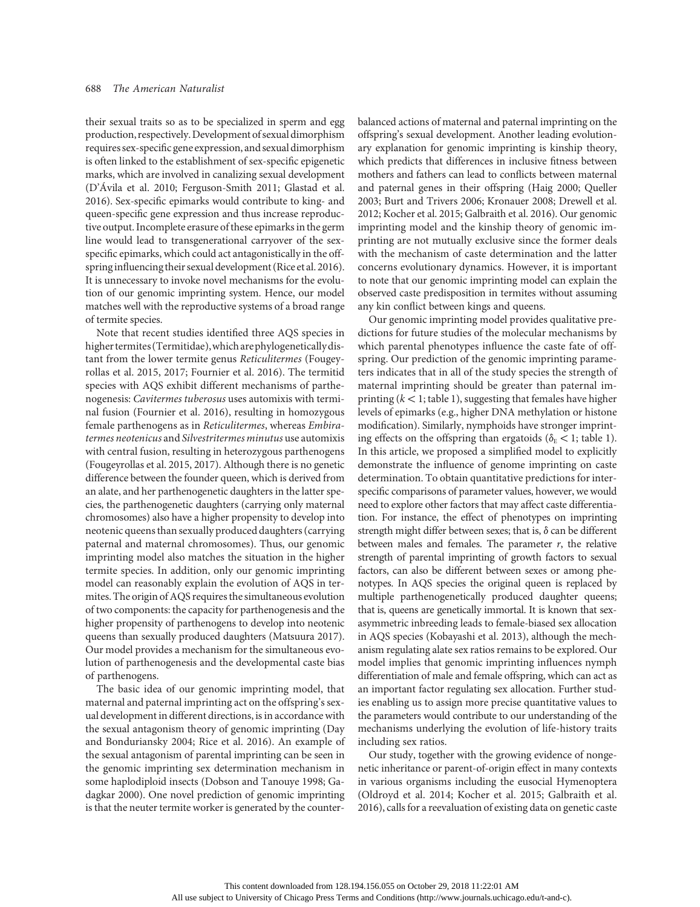their sexual traits so as to be specialized in sperm and egg production, respectively. Development of sexual dimorphism requires sex-specific gene expression, and sexual dimorphism is often linked to the establishment of sex-specific epigenetic marks, which are involved in canalizing sexual development (D'Ávila et al. 2010; Ferguson-Smith 2011; Glastad et al. 2016). Sex-specific epimarks would contribute to king- and queen-specific gene expression and thus increase reproductive output. Incomplete erasure of these epimarks in the germ line would lead to transgenerational carryover of the sexspecific epimarks, which could act antagonistically in the offspring influencing their sexual development (Rice et al. 2016). It is unnecessary to invoke novel mechanisms for the evolution of our genomic imprinting system. Hence, our model matches well with the reproductive systems of a broad range of termite species.

Note that recent studies identified three AQS species in higher termites (Termitidae),whicharephylogeneticallydistant from the lower termite genus Reticulitermes (Fougeyrollas et al. 2015, 2017; Fournier et al. 2016). The termitid species with AQS exhibit different mechanisms of parthenogenesis: Cavitermes tuberosus uses automixis with terminal fusion (Fournier et al. 2016), resulting in homozygous female parthenogens as in Reticulitermes, whereas Embiratermes neotenicus and Silvestritermes minutus use automixis with central fusion, resulting in heterozygous parthenogens (Fougeyrollas et al. 2015, 2017). Although there is no genetic difference between the founder queen, which is derived from an alate, and her parthenogenetic daughters in the latter species, the parthenogenetic daughters (carrying only maternal chromosomes) also have a higher propensity to develop into neotenic queens than sexually produced daughters (carrying paternal and maternal chromosomes). Thus, our genomic imprinting model also matches the situation in the higher termite species. In addition, only our genomic imprinting model can reasonably explain the evolution of AQS in termites. The origin of AQS requires the simultaneous evolution of two components: the capacity for parthenogenesis and the higher propensity of parthenogens to develop into neotenic queens than sexually produced daughters (Matsuura 2017). Our model provides a mechanism for the simultaneous evolution of parthenogenesis and the developmental caste bias of parthenogens.

The basic idea of our genomic imprinting model, that maternal and paternal imprinting act on the offspring's sexual development in different directions, is in accordance with the sexual antagonism theory of genomic imprinting (Day and Bonduriansky 2004; Rice et al. 2016). An example of the sexual antagonism of parental imprinting can be seen in the genomic imprinting sex determination mechanism in some haplodiploid insects (Dobson and Tanouye 1998; Gadagkar 2000). One novel prediction of genomic imprinting is that the neuter termite worker is generated by the counterbalanced actions of maternal and paternal imprinting on the offspring's sexual development. Another leading evolutionary explanation for genomic imprinting is kinship theory, which predicts that differences in inclusive fitness between mothers and fathers can lead to conflicts between maternal and paternal genes in their offspring (Haig 2000; Queller 2003; Burt and Trivers 2006; Kronauer 2008; Drewell et al. 2012; Kocher et al. 2015; Galbraith et al. 2016). Our genomic imprinting model and the kinship theory of genomic imprinting are not mutually exclusive since the former deals with the mechanism of caste determination and the latter concerns evolutionary dynamics. However, it is important to note that our genomic imprinting model can explain the observed caste predisposition in termites without assuming any kin conflict between kings and queens.

Our genomic imprinting model provides qualitative predictions for future studies of the molecular mechanisms by which parental phenotypes influence the caste fate of offspring. Our prediction of the genomic imprinting parameters indicates that in all of the study species the strength of maternal imprinting should be greater than paternal imprinting  $(k < 1;$  table 1), suggesting that females have higher levels of epimarks (e.g., higher DNA methylation or histone modification). Similarly, nymphoids have stronger imprinting effects on the offspring than ergatoids ( $\delta_{\rm E}$  < 1; table 1). In this article, we proposed a simplified model to explicitly demonstrate the influence of genome imprinting on caste determination. To obtain quantitative predictions for interspecific comparisons of parameter values, however, we would need to explore other factors that may affect caste differentiation. For instance, the effect of phenotypes on imprinting strength might differ between sexes; that is,  $\delta$  can be different between males and females. The parameter  $r$ , the relative strength of parental imprinting of growth factors to sexual factors, can also be different between sexes or among phenotypes. In AQS species the original queen is replaced by multiple parthenogenetically produced daughter queens; that is, queens are genetically immortal. It is known that sexasymmetric inbreeding leads to female-biased sex allocation in AQS species (Kobayashi et al. 2013), although the mechanism regulating alate sex ratios remains to be explored. Our model implies that genomic imprinting influences nymph differentiation of male and female offspring, which can act as an important factor regulating sex allocation. Further studies enabling us to assign more precise quantitative values to the parameters would contribute to our understanding of the mechanisms underlying the evolution of life-history traits including sex ratios.

Our study, together with the growing evidence of nongenetic inheritance or parent-of-origin effect in many contexts in various organisms including the eusocial Hymenoptera (Oldroyd et al. 2014; Kocher et al. 2015; Galbraith et al. 2016), calls for a reevaluation of existing data on genetic caste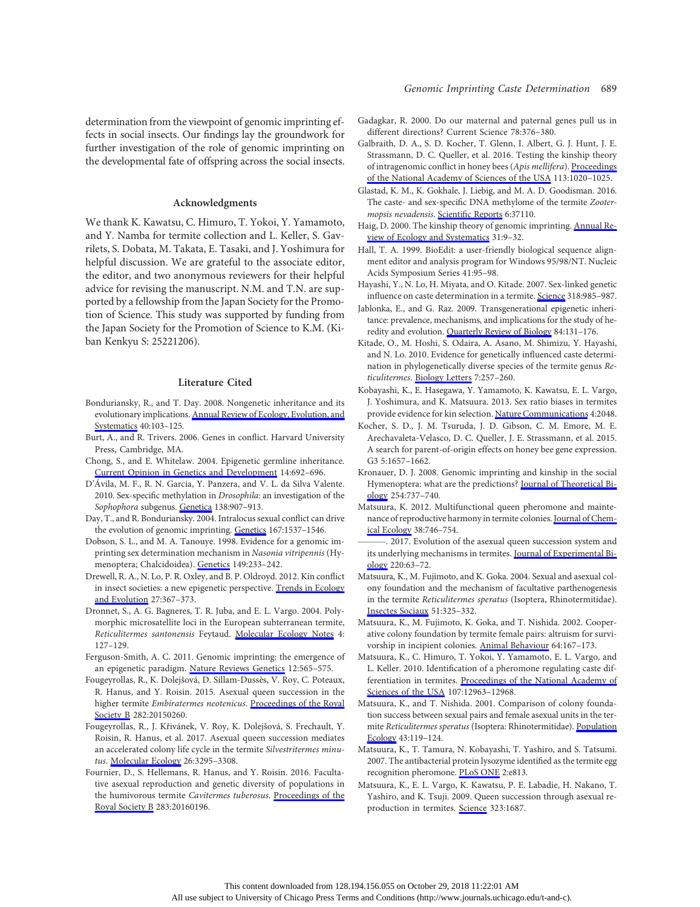# Acknowledgments

We thank K. Kawatsu, C. Himuro, T. Yokoi, Y. Yamamoto, and Y. Namba for termite collection and L. Keller, S. Gavrilets, S. Dobata, M. Takata, E. Tasaki, and J. Yoshimura for helpful discussion. We are grateful to the associate editor, the editor, and two anonymous reviewers for their helpful advice for revising the manuscript. N.M. and T.N. are supported by a fellowship from the Japan Society for the Promotion of Science. This study was supported by funding from the Japan Society for the Promotion of Science to K.M. (Kiban Kenkyu S: 25221206).

# Literature Cited

- Bonduriansky, R., and T. Day. 2008. Nongenetic inheritance and its evolutionary implications. [Annual Review of Ecology, Evolution, and](https://www.journals.uchicago.edu/action/showLinks?doi=10.1086%2F697238&crossref=10.1146%2Fannurev.ecolsys.39.110707.173441&citationId=p_1) [Systematics](https://www.journals.uchicago.edu/action/showLinks?doi=10.1086%2F697238&crossref=10.1146%2Fannurev.ecolsys.39.110707.173441&citationId=p_1) 40:103–125.
- Burt, A., and R. Trivers. 2006. Genes in conflict. Harvard University Press, Cambridge, MA.
- Chong, S., and E. Whitelaw. 2004. Epigenetic germline inheritance. [Current Opinion in Genetics and Development](https://www.journals.uchicago.edu/action/showLinks?doi=10.1086%2F697238&pmid=15531166&crossref=10.1016%2Fj.gde.2004.09.001&citationId=p_3) 14:692–696.
- D'Ávila, M. F., R. N. Garcia, Y. Panzera, and V. L. da Silva Valente. 2010. Sex-specific methylation in Drosophila: an investigation of the Sophophora subgenus. [Genetica](https://www.journals.uchicago.edu/action/showLinks?doi=10.1086%2F697238&pmid=20640488&crossref=10.1007%2Fs10709-010-9473-9&citationId=p_5) 138:907–913.
- Day, T., and R. Bonduriansky. 2004. Intralocus sexual conflict can drive the evolution of genomic imprinting. [Genetics](https://www.journals.uchicago.edu/action/showLinks?doi=10.1086%2F697238&pmid=15342496&crossref=10.1534%2Fgenetics.103.026211&citationId=p_6) 167:1537–1546.
- Dobson, S. L., and M. A. Tanouye. 1998. Evidence for a genomic imprinting sex determination mechanism in Nasonia vitripennis (Hymenoptera; Chalcidoidea). [Genetics](https://www.journals.uchicago.edu/action/showLinks?doi=10.1086%2F697238&pmid=9584099&citationId=p_7) 149:233–242.
- Drewell, R. A., N. Lo, P. R. Oxley, and B. P. Oldroyd. 2012. Kin conflict in insect societies: a new epigenetic perspective. [Trends in Ecology](https://www.journals.uchicago.edu/action/showLinks?doi=10.1086%2F697238&pmid=22483741&crossref=10.1016%2Fj.tree.2012.02.005&citationId=p_8) [and Evolution](https://www.journals.uchicago.edu/action/showLinks?doi=10.1086%2F697238&pmid=22483741&crossref=10.1016%2Fj.tree.2012.02.005&citationId=p_8) 27:367–373.
- Dronnet, S., A. G. Bagneres, T. R. Juba, and E. L. Vargo. 2004. Polymorphic microsatellite loci in the European subterranean termite, Reticulitermes santonensis Feytaud. [Molecular Ecology Notes](https://www.journals.uchicago.edu/action/showLinks?doi=10.1086%2F697238&crossref=10.1111%2Fj.1471-8286.2004.00600.x&citationId=p_9) 4: 127–129.
- Ferguson-Smith, A. C. 2011. Genomic imprinting: the emergence of an epigenetic paradigm. [Nature Reviews Genetics](https://www.journals.uchicago.edu/action/showLinks?doi=10.1086%2F697238&pmid=21765458&crossref=10.1038%2Fnrg3032&citationId=p_10) 12:565–575.
- Fougeyrollas, R., K. Dolejšová, D. Sillam-Dussès, V. Roy, C. Poteaux, R. Hanus, and Y. Roisin. 2015. Asexual queen succession in the higher termite Embiratermes neotenicus. [Proceedings of the Royal](https://www.journals.uchicago.edu/action/showLinks?doi=10.1086%2F697238&pmid=26019158&crossref=10.1098%2Frspb.2015.0260&citationId=p_11) [Society B](https://www.journals.uchicago.edu/action/showLinks?doi=10.1086%2F697238&pmid=26019158&crossref=10.1098%2Frspb.2015.0260&citationId=p_11) 282:20150260.
- Fougeyrollas, R., J. Křivánek, V. Roy, K. Dolejšová, S. Frechault, Y. Roisin, R. Hanus, et al. 2017. Asexual queen succession mediates an accelerated colony life cycle in the termite Silvestritermes minutus. [Molecular Ecology](https://www.journals.uchicago.edu/action/showLinks?doi=10.1086%2F697238&pmid=28281327&crossref=10.1111%2Fmec.14095&citationId=p_12) 26:3295–3308.
- Fournier, D., S. Hellemans, R. Hanus, and Y. Roisin. 2016. Facultative asexual reproduction and genetic diversity of populations in the humivorous termite Cavitermes tuberosus. [Proceedings of the](https://www.journals.uchicago.edu/action/showLinks?doi=10.1086%2F697238&pmid=27252019&crossref=10.1098%2Frspb.2016.0196&citationId=p_13) [Royal Society B](https://www.journals.uchicago.edu/action/showLinks?doi=10.1086%2F697238&pmid=27252019&crossref=10.1098%2Frspb.2016.0196&citationId=p_13) 283:20160196.
- Gadagkar, R. 2000. Do our maternal and paternal genes pull us in different directions? Current Science 78:376–380.
- Galbraith, D. A., S. D. Kocher, T. Glenn, I. Albert, G. J. Hunt, J. E. Strassmann, D. C. Queller, et al. 2016. Testing the kinship theory of intragenomic conflict in honey bees (Apis mellifera). [Proceedings](https://www.journals.uchicago.edu/action/showLinks?doi=10.1086%2F697238&pmid=26755583&crossref=10.1073%2Fpnas.1516636113&citationId=p_15) [of the National Academy of Sciences of the USA](https://www.journals.uchicago.edu/action/showLinks?doi=10.1086%2F697238&pmid=26755583&crossref=10.1073%2Fpnas.1516636113&citationId=p_15) 113:1020–1025.
- Glastad, K. M., K. Gokhale, J. Liebig, and M. A. D. Goodisman. 2016. The caste- and sex-specific DNA methylome of the termite Zootermopsis nevadensis. Scientifi[c Reports](https://www.journals.uchicago.edu/action/showLinks?doi=10.1086%2F697238&pmid=27848993&crossref=10.1038%2Fsrep37110&citationId=p_16) 6:37110.
- Haig, D. 2000. The kinship theory of genomic imprinting. [Annual Re](https://www.journals.uchicago.edu/action/showLinks?doi=10.1086%2F697238&crossref=10.1146%2Fannurev.ecolsys.31.1.9&citationId=p_17)[view of Ecology and Systematics](https://www.journals.uchicago.edu/action/showLinks?doi=10.1086%2F697238&crossref=10.1146%2Fannurev.ecolsys.31.1.9&citationId=p_17) 31:9–32.
- Hall, T. A. 1999. BioEdit: a user-friendly biological sequence alignment editor and analysis program for Windows 95/98/NT. Nucleic Acids Symposium Series 41:95–98.
- Hayashi, Y., N. Lo, H. Miyata, and O. Kitade. 2007. Sex-linked genetic influence on caste determination in a termite. [Science](https://www.journals.uchicago.edu/action/showLinks?doi=10.1086%2F697238&pmid=17991866&crossref=10.1126%2Fscience.1146711&citationId=p_19) 318:985–987.
- Jablonka, E., and G. Raz. 2009. Transgenerational epigenetic inheritance: prevalence, mechanisms, and implications for the study of heredity and evolution. [Quarterly Review of Biology](https://www.journals.uchicago.edu/action/showLinks?doi=10.1086%2F697238&system=10.1086%2F598822&citationId=p_20) 84:131–176.
- Kitade, O., M. Hoshi, S. Odaira, A. Asano, M. Shimizu, Y. Hayashi, and N. Lo. 2010. Evidence for genetically influenced caste determination in phylogenetically diverse species of the termite genus Reticulitermes. [Biology Letters](https://www.journals.uchicago.edu/action/showLinks?doi=10.1086%2F697238&pmid=20980291&crossref=10.1098%2Frsbl.2010.0856&citationId=p_21) 7:257–260.
- Kobayashi, K., E. Hasegawa, Y. Yamamoto, K. Kawatsu, E. L. Vargo, J. Yoshimura, and K. Matsuura. 2013. Sex ratio biases in termites provide evidence for kin selection. [Nature Communications](https://www.journals.uchicago.edu/action/showLinks?doi=10.1086%2F697238&pmid=23807025&crossref=10.1038%2Fncomms3048&citationId=p_22) 4:2048.
- Kocher, S. D., J. M. Tsuruda, J. D. Gibson, C. M. Emore, M. E. Arechavaleta-Velasco, D. C. Queller, J. E. Strassmann, et al. 2015. A search for parent-of-origin effects on honey bee gene expression. G3 5:1657–1662.
- Kronauer, D. J. 2008. Genomic imprinting and kinship in the social Hymenoptera: what are the predictions? [Journal of Theoretical Bi](https://www.journals.uchicago.edu/action/showLinks?doi=10.1086%2F697238&pmid=18621061&crossref=10.1016%2Fj.jtbi.2008.06.019&citationId=p_24)[ology](https://www.journals.uchicago.edu/action/showLinks?doi=10.1086%2F697238&pmid=18621061&crossref=10.1016%2Fj.jtbi.2008.06.019&citationId=p_24) 254:737–740.
- Matsuura, K. 2012. Multifunctional queen pheromone and maintenance of reproductive harmony in termite colonies. [Journal of Chem](https://www.journals.uchicago.edu/action/showLinks?doi=10.1086%2F697238&pmid=22623152&crossref=10.1007%2Fs10886-012-0137-3&citationId=p_25)[ical Ecology](https://www.journals.uchicago.edu/action/showLinks?doi=10.1086%2F697238&pmid=22623152&crossref=10.1007%2Fs10886-012-0137-3&citationId=p_25) 38:746–754.
- 2017. Evolution of the asexual queen succession system and its underlying mechanisms in termites. [Journal of Experimental Bi](https://www.journals.uchicago.edu/action/showLinks?doi=10.1086%2F697238&pmid=28057829&crossref=10.1242%2Fjeb.142547&citationId=p_26)[ology](https://www.journals.uchicago.edu/action/showLinks?doi=10.1086%2F697238&pmid=28057829&crossref=10.1242%2Fjeb.142547&citationId=p_26) 220:63–72.
- Matsuura, K., M. Fujimoto, and K. Goka. 2004. Sexual and asexual colony foundation and the mechanism of facultative parthenogenesis in the termite Reticulitermes speratus (Isoptera, Rhinotermitidae). [Insectes Sociaux](https://www.journals.uchicago.edu/action/showLinks?doi=10.1086%2F697238&crossref=10.1007%2Fs00040-004-0746-0&citationId=p_27) 51:325–332.
- Matsuura, K., M. Fujimoto, K. Goka, and T. Nishida. 2002. Cooperative colony foundation by termite female pairs: altruism for survivorship in incipient colonies. [Animal Behaviour](https://www.journals.uchicago.edu/action/showLinks?doi=10.1086%2F697238&crossref=10.1006%2Fanbe.2002.3062&citationId=p_28) 64:167–173.
- Matsuura, K., C. Himuro, T. Yokoi, Y. Yamamoto, E. L. Vargo, and L. Keller. 2010. Identification of a pheromone regulating caste differentiation in termites. [Proceedings of the National Academy of](https://www.journals.uchicago.edu/action/showLinks?doi=10.1086%2F697238&pmid=20615972&crossref=10.1073%2Fpnas.1004675107&citationId=p_29) [Sciences of the USA](https://www.journals.uchicago.edu/action/showLinks?doi=10.1086%2F697238&pmid=20615972&crossref=10.1073%2Fpnas.1004675107&citationId=p_29) 107:12963–12968.
- Matsuura, K., and T. Nishida. 2001. Comparison of colony foundation success between sexual pairs and female asexual units in the termite Reticulitermes speratus (Isoptera: Rhinotermitidae). [Population](https://www.journals.uchicago.edu/action/showLinks?doi=10.1086%2F697238&crossref=10.1007%2FPL00012022&citationId=p_30) [Ecology](https://www.journals.uchicago.edu/action/showLinks?doi=10.1086%2F697238&crossref=10.1007%2FPL00012022&citationId=p_30) 43:119–124.
- Matsuura, K., T. Tamura, N. Kobayashi, T. Yashiro, and S. Tatsumi. 2007. The antibacterial protein lysozyme identified as the termite egg recognition pheromone. [PLoS ONE](https://www.journals.uchicago.edu/action/showLinks?doi=10.1086%2F697238&pmid=17726543&crossref=10.1371%2Fjournal.pone.0000813&citationId=p_32) 2:e813.
- Matsuura, K., E. L. Vargo, K. Kawatsu, P. E. Labadie, H. Nakano, T. Yashiro, and K. Tsuji. 2009. Queen succession through asexual reproduction in termites. [Science](https://www.journals.uchicago.edu/action/showLinks?doi=10.1086%2F697238&pmid=19325106&crossref=10.1126%2Fscience.1169702&citationId=p_33) 323:1687.